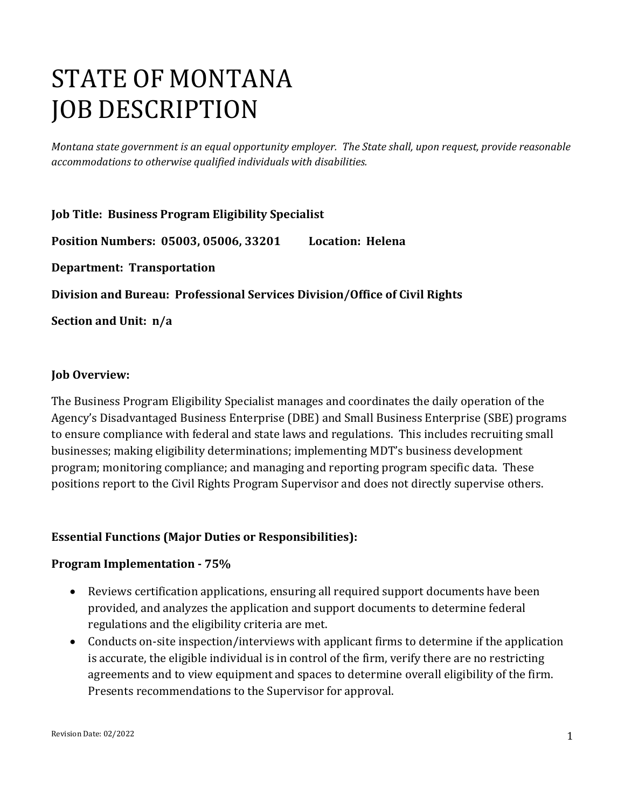# STATE OF MONTANA JOB DESCRIPTION

*Montana state government is an equal opportunity employer. The State shall, upon request, provide reasonable accommodations to otherwise qualified individuals with disabilities.*

**Job Title: Business Program Eligibility Specialist Position Numbers: 05003, 05006, 33201 Location: Helena Department: Transportation Division and Bureau: Professional Services Division/Office of Civil Rights Section and Unit: n/a**

#### **Job Overview:**

The Business Program Eligibility Specialist manages and coordinates the daily operation of the Agency's Disadvantaged Business Enterprise (DBE) and Small Business Enterprise (SBE) programs to ensure compliance with federal and state laws and regulations. This includes recruiting small businesses; making eligibility determinations; implementing MDT's business development program; monitoring compliance; and managing and reporting program specific data. These positions report to the Civil Rights Program Supervisor and does not directly supervise others.

#### **Essential Functions (Major Duties or Responsibilities):**

#### **Program Implementation - 75%**

- Reviews certification applications, ensuring all required support documents have been provided, and analyzes the application and support documents to determine federal regulations and the eligibility criteria are met.
- Conducts on-site inspection/interviews with applicant firms to determine if the application is accurate, the eligible individual is in control of the firm, verify there are no restricting agreements and to view equipment and spaces to determine overall eligibility of the firm. Presents recommendations to the Supervisor for approval.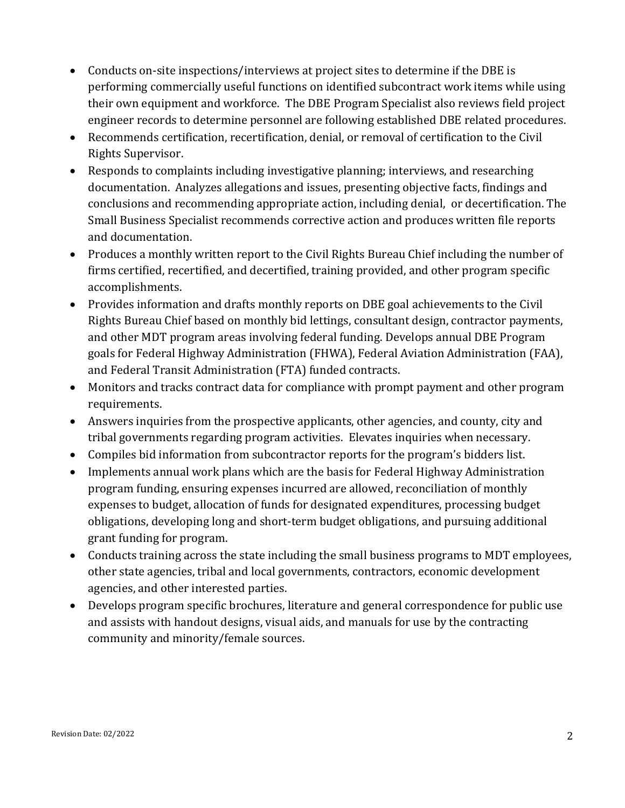- Conducts on-site inspections/interviews at project sites to determine if the DBE is performing commercially useful functions on identified subcontract work items while using their own equipment and workforce. The DBE Program Specialist also reviews field project engineer records to determine personnel are following established DBE related procedures.
- Recommends certification, recertification, denial, or removal of certification to the Civil Rights Supervisor.
- Responds to complaints including investigative planning; interviews, and researching documentation. Analyzes allegations and issues, presenting objective facts, findings and conclusions and recommending appropriate action, including denial, or decertification. The Small Business Specialist recommends corrective action and produces written file reports and documentation.
- Produces a monthly written report to the Civil Rights Bureau Chief including the number of firms certified, recertified, and decertified, training provided, and other program specific accomplishments.
- Provides information and drafts monthly reports on DBE goal achievements to the Civil Rights Bureau Chief based on monthly bid lettings, consultant design, contractor payments, and other MDT program areas involving federal funding. Develops annual DBE Program goals for Federal Highway Administration (FHWA), Federal Aviation Administration (FAA), and Federal Transit Administration (FTA) funded contracts.
- Monitors and tracks contract data for compliance with prompt payment and other program requirements.
- Answers inquiries from the prospective applicants, other agencies, and county, city and tribal governments regarding program activities. Elevates inquiries when necessary.
- Compiles bid information from subcontractor reports for the program's bidders list.
- Implements annual work plans which are the basis for Federal Highway Administration program funding, ensuring expenses incurred are allowed, reconciliation of monthly expenses to budget, allocation of funds for designated expenditures, processing budget obligations, developing long and short-term budget obligations, and pursuing additional grant funding for program.
- Conducts training across the state including the small business programs to MDT employees, other state agencies, tribal and local governments, contractors, economic development agencies, and other interested parties.
- Develops program specific brochures, literature and general correspondence for public use and assists with handout designs, visual aids, and manuals for use by the contracting community and minority/female sources.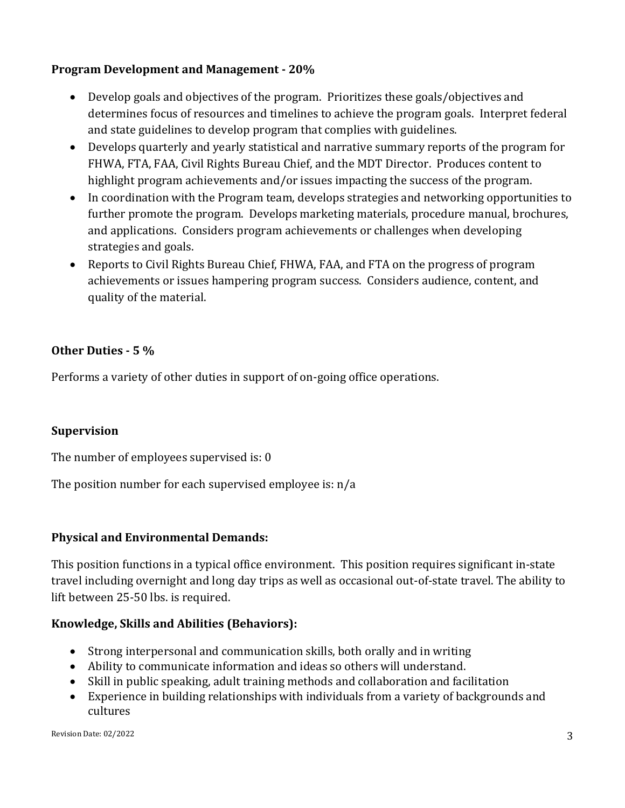### **Program Development and Management - 20%**

- Develop goals and objectives of the program. Prioritizes these goals/objectives and determines focus of resources and timelines to achieve the program goals. Interpret federal and state guidelines to develop program that complies with guidelines.
- Develops quarterly and yearly statistical and narrative summary reports of the program for FHWA, FTA, FAA, Civil Rights Bureau Chief, and the MDT Director. Produces content to highlight program achievements and/or issues impacting the success of the program.
- In coordination with the Program team, develops strategies and networking opportunities to further promote the program. Develops marketing materials, procedure manual, brochures, and applications. Considers program achievements or challenges when developing strategies and goals.
- Reports to Civil Rights Bureau Chief, FHWA, FAA, and FTA on the progress of program achievements or issues hampering program success. Considers audience, content, and quality of the material.

## **Other Duties - 5 %**

Performs a variety of other duties in support of on-going office operations.

### **Supervision**

The number of employees supervised is: 0

The position number for each supervised employee is: n/a

### **Physical and Environmental Demands:**

This position functions in a typical office environment. This position requires significant in-state travel including overnight and long day trips as well as occasional out-of-state travel. The ability to lift between 25-50 lbs. is required.

### **Knowledge, Skills and Abilities (Behaviors):**

- Strong interpersonal and communication skills, both orally and in writing
- Ability to communicate information and ideas so others will understand.
- Skill in public speaking, adult training methods and collaboration and facilitation
- Experience in building relationships with individuals from a variety of backgrounds and cultures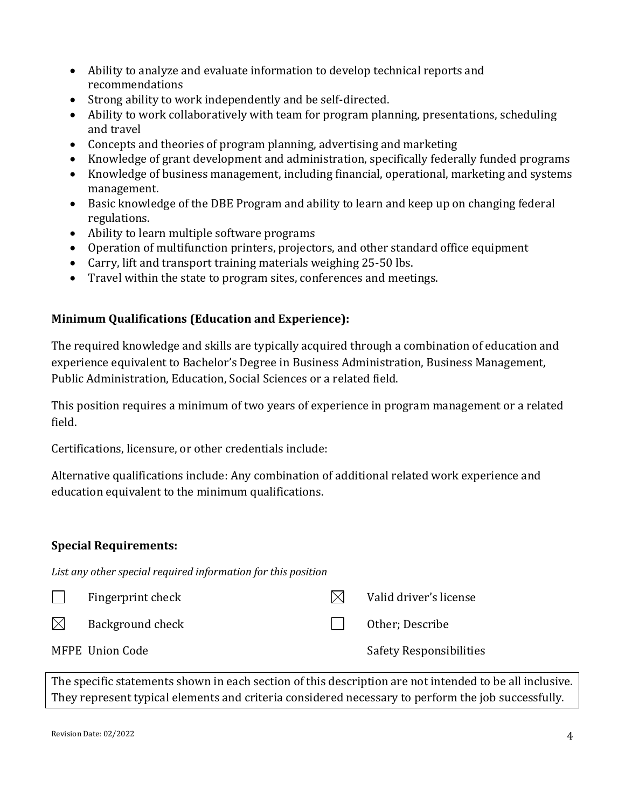- Ability to analyze and evaluate information to develop technical reports and recommendations
- Strong ability to work independently and be self-directed.
- Ability to work collaboratively with team for program planning, presentations, scheduling and travel
- Concepts and theories of program planning, advertising and marketing
- Knowledge of grant development and administration, specifically federally funded programs
- Knowledge of business management, including financial, operational, marketing and systems management.
- Basic knowledge of the DBE Program and ability to learn and keep up on changing federal regulations.
- Ability to learn multiple software programs
- Operation of multifunction printers, projectors, and other standard office equipment
- Carry, lift and transport training materials weighing 25-50 lbs.
- Travel within the state to program sites, conferences and meetings.

## **Minimum Qualifications (Education and Experience):**

The required knowledge and skills are typically acquired through a combination of education and experience equivalent to Bachelor's Degree in Business Administration, Business Management, Public Administration, Education, Social Sciences or a related field.

This position requires a minimum of two years of experience in program management or a related field.

Certifications, licensure, or other credentials include:

Alternative qualifications include: Any combination of additional related work experience and education equivalent to the minimum qualifications.

### **Special Requirements:**

*List any other special required information for this position*

|             | Fingerprint check | IXI | Valid driver's license         |
|-------------|-------------------|-----|--------------------------------|
| $\boxtimes$ | Background check  |     | Other: Describe                |
|             | MFPE Union Code   |     | <b>Safety Responsibilities</b> |

The specific statements shown in each section of this description are not intended to be all inclusive. They represent typical elements and criteria considered necessary to perform the job successfully.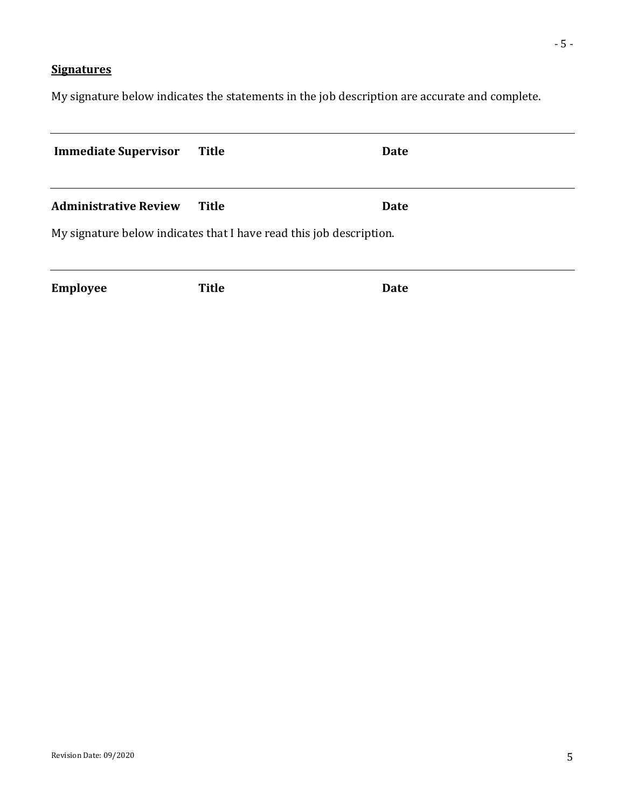## **Signatures**

My signature below indicates the statements in the job description are accurate and complete.

| <b>Immediate Supervisor</b>                                         | <b>Title</b> | <b>Date</b> |  |  |  |
|---------------------------------------------------------------------|--------------|-------------|--|--|--|
| <b>Administrative Review</b>                                        | Title        | <b>Date</b> |  |  |  |
| My signature below indicates that I have read this job description. |              |             |  |  |  |
| <b>Employee</b>                                                     | <b>Title</b> | <b>Date</b> |  |  |  |